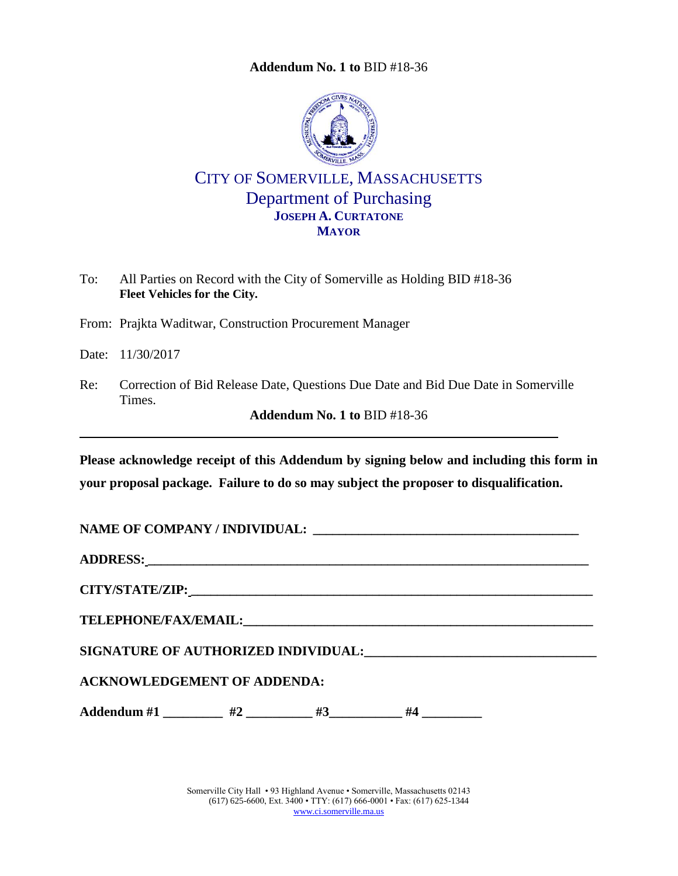**Addendum No. 1 to** [BID #18-36](#page-0-0)

<span id="page-0-0"></span>

CITY OF SOMERVILLE, MASSACHUSETTS Department of Purchasing **JOSEPH A. CURTATONE MAYOR**

To: All Parties on Record with the City of Somerville as Holding BID #18-36 **Fleet Vehicles for the City.**

From: Prajkta Waditwar, Construction Procurement Manager

Date: 11/30/2017

Re: Correction of Bid Release Date, Questions Due Date and Bid Due Date in Somerville Times.

**Addendum No. 1 to** [BID #18-36](#page-0-0)

**Please acknowledge receipt of this Addendum by signing below and including this form in your proposal package. Failure to do so may subject the proposer to disqualification.**

**NAME OF COMPANY / INDIVIDUAL: \_\_\_\_\_\_\_\_\_\_\_\_\_\_\_\_\_\_\_\_\_\_\_\_\_\_\_\_\_\_\_\_\_\_\_\_\_\_\_\_\_**

**ADDRESS: \_\_\_\_\_\_\_\_\_\_\_\_\_\_\_\_\_\_\_\_\_\_\_\_\_\_\_\_\_\_\_\_\_\_\_\_\_\_\_\_\_\_\_\_\_\_\_\_\_\_\_\_\_\_\_\_\_\_\_\_\_\_\_\_\_\_\_\_**

**CITY/STATE/ZIP: \_\_\_\_\_\_\_\_\_\_\_\_\_\_\_\_\_\_\_\_\_\_\_\_\_\_\_\_\_\_\_\_\_\_\_\_\_\_\_\_\_\_\_\_\_\_\_\_\_\_\_\_\_\_\_\_\_\_\_\_\_\_**

**TELEPHONE/FAX/EMAIL:\_\_\_\_\_\_\_\_\_\_\_\_\_\_\_\_\_\_\_\_\_\_\_\_\_\_\_\_\_\_\_\_\_\_\_\_\_\_\_\_\_\_\_\_\_\_\_\_\_\_\_\_\_\_**

**SIGNATURE OF AUTHORIZED INDIVIDUAL:\_\_\_\_\_\_\_\_\_\_\_\_\_\_\_\_\_\_\_\_\_\_\_\_\_\_\_\_\_\_\_\_\_\_\_**

**ACKNOWLEDGEMENT OF ADDENDA:**

Addendum #1 \_\_\_\_\_\_\_\_\_ #2 \_\_\_\_\_\_\_\_ #3\_\_\_\_\_\_\_\_\_ #4 \_\_\_\_\_\_\_\_

Somerville City Hall • 93 Highland Avenue • Somerville, Massachusetts 02143 (617) 625-6600, Ext. 3400 • TTY: (617) 666-0001 • Fax: (617) 625-1344 [www.ci.somerville.ma.us](http://www.ci.somerville.ma.us/)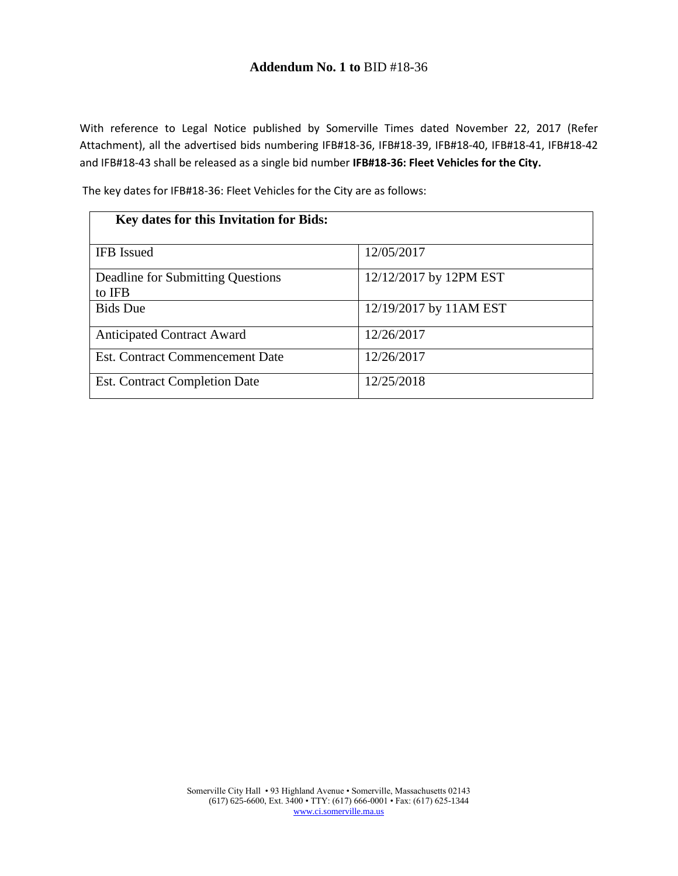### **Addendum No. 1 to** [BID #18-36](#page-0-0)

With reference to Legal Notice published by Somerville Times dated November 22, 2017 (Refer Attachment), all the advertised bids numbering IFB#18-36, IFB#18-39, IFB#18-40, IFB#18-41, IFB#18-42 and IFB#18-43 shall be released as a single bid number **IFB#18-36: Fleet Vehicles for the City.**

The key dates for IFB#18-36: Fleet Vehicles for the City are as follows:

| Key dates for this Invitation for Bids:     |                        |  |
|---------------------------------------------|------------------------|--|
| <b>IFB</b> Issued                           | 12/05/2017             |  |
| Deadline for Submitting Questions<br>to IFB | 12/12/2017 by 12PM EST |  |
| <b>Bids</b> Due                             | 12/19/2017 by 11AM EST |  |
| <b>Anticipated Contract Award</b>           | 12/26/2017             |  |
| <b>Est. Contract Commencement Date</b>      | 12/26/2017             |  |
| <b>Est. Contract Completion Date</b>        | 12/25/2018             |  |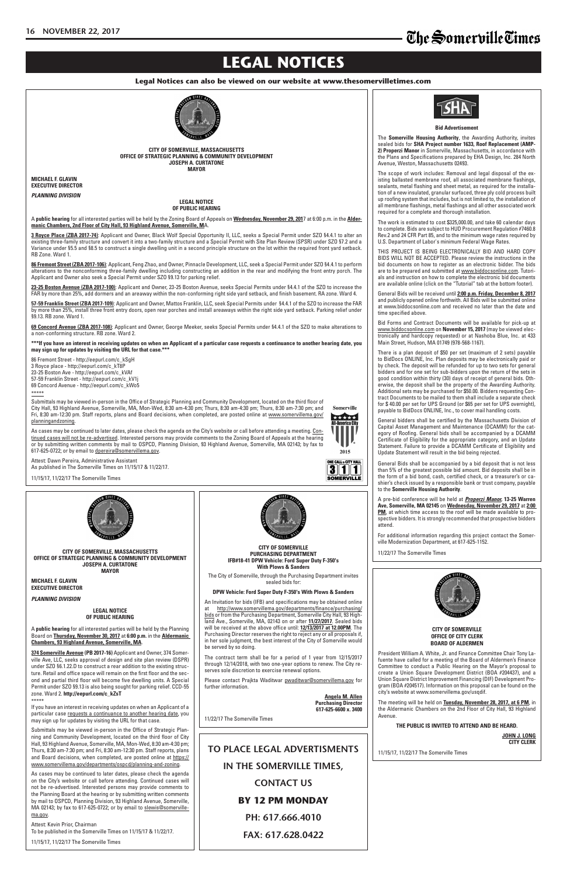## **LEGAL NOTICES**

#### **Legal Notices can also be viewed on our website at www.thesomervilletimes.com**

### **TO PLACE LEGAL ADVERTISMENTS IN THE SOMERVILLE TIMES, CONTACT US BY 12 PM MONDAY PH: 617.666.4010 FAX: 617.628.0422**

**CITY OF SOMERVILLE OFFICE OF CITY CLERK BOARD OF ALDERMEN**

President William A. White, Jr. and Finance Committee Chair Tony Lafuente have called for a meeting of the Board of Aldermen's Finance Committee to conduct a Public Hearing on the Mayor's proposal to create a Union Square Development District (BOA #204437), and a Union Square District Improvement Financing (DIF) Development Program (BOA #204517). Information on this proposal can be found on the city's website at www.somervillema.gov/usqdif.

The meeting will be held on **Tuesday, November 28, 2017, at 6 PM**, in the Aldermanic Chambers on the 2nd Floor of City Hall, 93 Highland Avenue.

#### **THE PUBLIC IS INVITED TO ATTEND AND BE HEARD.**

**JOHN J. LONG CITY CLERK**

11/15/17, 11/22/17 The Somerville Times

**LEGAL NOTICE OF PUBLIC HEARING**

A **public hearing** for all interested parties will be held by the Planning Board on **Thursday, November 30, 2017** at **6:00 p.m.** in the **Aldermanic Chambers, 93 Highland Avenue, Somerville, MA**.

**374 Somerville Avenue (PB 2017-16)** Applicant and Owner, 374 Somerville Ave, LLC, seeks approval of design and site plan review (DSPR) under SZO §6.1.22.D to construct a rear addition to the existing structure. Retail and office space will remain on the first floor and the second and partial third floor will become five dwelling units. A Special Permit under SZO §9.13 is also being sought for parking relief. CCD-55 zone. Ward 2. **http://eepurl.com/c\_kZsT** \*\*\*\*\*

If you have an interest in receiving updates on when an Applicant of a particular case requests a continuance to another hearing date, you may sign up for updates by visiting the URL for that case.



Submittals may be viewed in-person in the Office of Strategic Planning and Community Development, located on the third floor of City Hall, 93 Highland Avenue, Somerville, MA, Mon-Wed, 8:30 am-4:30 pm; Thurs, 8:30 am-7:30 pm; and Fri, 8:30 am-12:30 pm. Staff reports, plans and Board decisions, when completed, are posted online at https:// www.somervillema.gov/departments/ospcd/planning-and-zoning.

As cases may be continued to later dates, please check the agenda on the City's website or call before attending. Continued cases will not be re-advertised. Interested persons may provide comments to the Planning Board at the hearing or by submitting written comments by mail to OSPCD, Planning Division, 93 Highland Avenue, Somerville, MA 02143; by fax to 617-625-0722; or by email to slewis@somervillema.gov.

Attest: Kevin Prior, Chairman To be published in the Somerville Times on 11/15/17 & 11/22/17.

11/15/17, 11/22/17 The Somerville Times

Please contact Prajkta Waditwar pwaditwar@somervillema.gov for further information.

#### **Bid Advertisement**

The **Somerville Housing Authority**, the Awarding Authority, invites sealed bids for **SHA Project number 1633, Roof Replacement (AMP-2) Properzi Manor** in Somerville, Massachusetts, in accordance with the Plans and Specifications prepared by EHA Design, Inc. 284 North Avenue, Weston, Massachusetts 02493.

The scope of work includes: Removal and legal disposal of the existing ballasted membrane roof, all associated membrane flashings, sealants, metal flashing and sheet metal, as required for the installation of a new insulated, granular surfaced, three ply cold process built up roofing system that includes, but is not limited to, the installation of all membrane flashings, metal flashings and all other associated work required for a complete and thorough installation.

The work is estimated to cost \$325,000.00, and take 60 calendar days to complete. Bids are subject to HUD Procurement Regulation #7460.8 Rev.2 and 24 CFR Part 85, and to the minimum wage rates required by U.S. Department of Labor's minimum Federal Wage Rates.

THIS PROJECT IS BEING ELECTRONICALLY BID AND HARD COPY BIDS WILL NOT BE ACCEPTED. Please review the instructions in the bid documents on how to register as an electronic bidder. The bids are to be prepared and submitted at www.biddocsonline.com. Tutorials and instruction on how to complete the electronic bid documents are available online (click on the "Tutorial" tab at the bottom footer).

General Bids will be received until **2:00 p.m. Friday, December 8, 2017** and publicly opened online forthwith. All Bids will be submitted online at www.biddocsonline.com and received no later than the date and time specified above.

Bid Forms and Contract Documents will be available for pick-up at www.biddocsonline.com on **November 15, 2017** (may be viewed electronically and hardcopy requested) or at Nashoba Blue, Inc. at 433 Main Street, Hudson, MA 01749 (978-568-1167).

There is a plan deposit of \$50 per set (maximum of 2 sets) payable to BidDocs ONLINE, Inc. Plan deposits may be electronically paid or by check. The deposit will be refunded for up to two sets for general bidders and for one set for sub-bidders upon the return of the sets in good condition within thirty (30) days of receipt of general bids. Otherwise, the deposit shall be the property of the Awarding Authority. Additional sets may be purchased for \$50.00. Bidders requesting Contract Documents to be mailed to them shall include a separate check for \$ 40.00 per set for UPS Ground (or \$65 per set for UPS overnight), payable to BidDocs ONLINE, Inc., to cover mail handling costs.

General bidders shall be certified by the Massachusetts Division of Capital Asset Management and Maintenance (DCAMM) for the category of Roofing. General bids shall be accompanied by a DCAMM Certificate of Eligibility for the appropriate category, and an Update Statement. Failure to provide a DCAMM Certificate of Eligibility and Update Statement will result in the bid being rejected.

General Bids shall be accompanied by a bid deposit that is not less than 5% of the greatest possible bid amount. Bid deposits shall be in the form of a bid bond, cash, certified check, or a treasurer's or cashier's check issued by a responsible bank or trust company, payable to the **Somerville Housing Authority**.

A pre-bid conference will be held at *Properzi Manor,* **13-25 Warren Ave, Somerville, MA 02145** on **Wednesday, November 29, 2017** at **2:00 PM**, at which time access to the roof will be made available to prospective bidders. It is strongly recommended that prospective bidders attend.

For additional information regarding this project contact the Somerville Modernization Department, at 617-625-1152.

11/22/17 The Somerville Times



An Invitation for bids (IFB) and specifications may be obtained online at http://www.somervillema.gov/departments/finance/purchasing/ bids or from the Purchasing Department, Somerville City Hall, 93 Highland Ave., Somerville, MA, 02143 on or after **11/27/2017**. Sealed bids will be received at the above office until: **12/13/2017 at 12.00PM**. The Purchasing Director reserves the right to reject any or all proposals if, in her sole judgment, the best interest of the City of Somerville would



be served by so doing.

The contract term shall be for a period of 1 year from 12/15/2017 through 12/14/2018, with two one-year options to renew. The City reserves sole discretion to exercise renewal options.

> **Angela M. Allen Purchasing Director 617-625-6600 x. 3400**

11/22/17 The Somerville Times